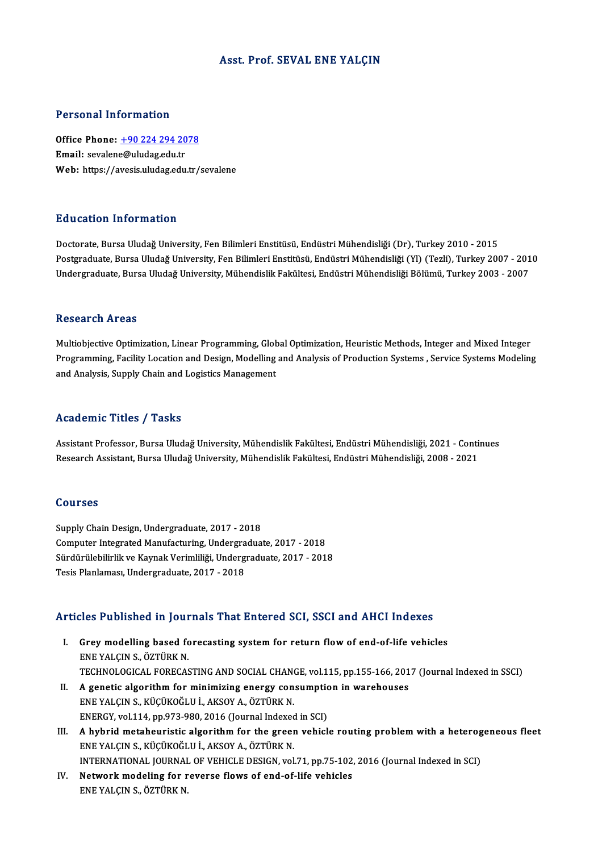### Asst. Prof. SEVAL ENE YALÇIN

### Personal Information

Personal Information<br>Office Phone: <u>+90 224 294 2078</u><br>Email: savalane@uludes.edu.tr Processian information<br>Office Phone: <u>+90 224 294 20</u><br>Email: sevalen[e@uludag.edu.tr](tel:+90 224 294 2078) Email: sevalene@uludag.edu.tr<br>Web: https://avesis.uludag.edu.tr/sevalene

### Education Information

Doctorate, Bursa Uludağ University, Fen Bilimleri Enstitüsü, Endüstri Mühendisliği (Dr), Turkey 2010 - 2015 Pu u sustsa Timominusion<br>Doctorate, Bursa Uludağ University, Fen Bilimleri Enstitüsü, Endüstri Mühendisliği (Dr), Turkey 2010 - 2015<br>Undergraduate, Bursa Uludağ University, Fen Bilimleri Enstitüsü, Endüstri Mühendisliği (Y Doctorate, Bursa Uludağ University, Fen Bilimleri Enstitüsü, Endüstri Mühendisliği (Dr), Turkey 2010 - 2015<br>Postgraduate, Bursa Uludağ University, Fen Bilimleri Enstitüsü, Endüstri Mühendisliği (Yl) (Tezli), Turkey 2007 - Undergraduate, Bursa Uludağ University, Mühendislik Fakültesi, Endüstri Mühendisliği Bölümü, Turkey 2003 - 2007<br>Research Areas

Multiobjective Optimization, Linear Programming, Global Optimization, Heuristic Methods, Integer and Mixed Integer Proseur off Fries.<br>Multiobjective Optimization, Linear Programming, Global Optimization, Heuristic Methods, Integer and Mixed Integer<br>Programming, Facility Location and Design, Modelling and Analysis of Production Systems Multiobjective Optimization, Linear Programming, Glob<br>Programming, Facility Location and Design, Modelling<br>and Analysis, Supply Chain and Logistics Management and Analysis, Supply Chain and Logistics Management<br>Academic Titles / Tasks

Assistant Professor, Bursa Uludağ University, Mühendislik Fakültesi, Endüstri Mühendisliği, 2021 - Continues Research Assistant, Bursa Uludağ University, Mühendislik Fakültesi, Endüstri Mühendisliği, 2008 - 2021

### Courses

Supply Chain Design, Undergraduate, 2017 - 2018 Computer Integrated Manufacturing, Undergraduate, 2017 - 2018 Sürdürülebilirlik ve Kaynak Verimliliği, Undergraduate, 2017 - 2018 Tesis Planlaması, Undergraduate, 2017 - 2018

# 1esis Planlamasi, Undergraduate, 2017 - 2018<br>Articles Published in Journals That Entered SCI, SSCI and AHCI Indexes

- rticles Published in Journals That Entered SCI, SSCI and AHCI Indexes<br>I. Grey modelling based forecasting system for return flow of end-of-life vehicles<br>ENE VALCIN S. ÖZTÜRK N I. Grey modelling based forecasting system for return flow of end-of-life vehicles<br>ENEYALÇINS., ÖZTÜRKN. TECHNOLOGICAL FORECASTING AND SOCIAL CHANGE, vol.115, pp.155-166, 2017 (Journal Indexed in SSCI) ENE YALÇIN S., ÖZTÜRK N.<br>TECHNOLOGICAL FORECASTING AND SOCIAL CHANGE, vol.115, pp.155-166, 201<br>II. A genetic algorithm for minimizing energy consumption in warehouses<br>ENE YALCIN S. KÜCÜKOĞLU LAKSOV A ÖZTÜDK N
- ENE YALÇIN S., KÜÇÜKOĞLU İ., AKSOY A., ÖZTÜRK N.<br>ENERGY, vol.114, pp.973-980, 2016 (Journal Indexed in SCI) A genetic algorithm for minimizing energy consumptional experience in SCI)<br>ENE YALÇIN S., KÜÇÜKOĞLU İ., AKSOY A., ÖZTÜRK N.<br>ENERGY, vol.114, pp.973-980, 2016 (Journal Indexed in SCI) ENE YALÇIN S., KÜÇÜKOĞLU İ., AKSOY A., ÖZTÜRK N.<br>II. A hybrid metaheuristic algorithm for the green vehicle routing problem with a heterogeneous fleet<br>ENE YALCIN S. KÜÇÜKOĞLU İ. AKSOY A. ÖZTÜDK N.
- ENERGY, vol.114, pp.973-980, 2016 (Journal Indexed<br>A hybrid metaheuristic algorithm for the green<br>ENE YALÇIN S., KÜÇÜKOĞLU İ., AKSOY A., ÖZTÜRK N.<br>INTERNATIONAL JOURNAL OF VEHICLE DESICN vol A hybrid metaheuristic algorithm for the green vehicle routing problem with a heterog<br>ENE YALÇIN S., KÜÇÜKOĞLU İ., AKSOY A., ÖZTÜRK N.<br>INTERNATIONAL JOURNAL OF VEHICLE DESIGN, vol.71, pp.75-102, 2016 (Journal Indexed in SC ENE YALÇIN S., KÜÇÜKOĞLU İ., AKSOY A., ÖZTÜRK N.<br>INTERNATIONAL JOURNAL OF VEHICLE DESIGN, vol.71, pp.75-102, 2016 (Journal Indexed in SCI)<br>IV. Network modeling for reverse flows of end-of-life vehicles
- ENEYALÇINS.,ÖZTÜRKN.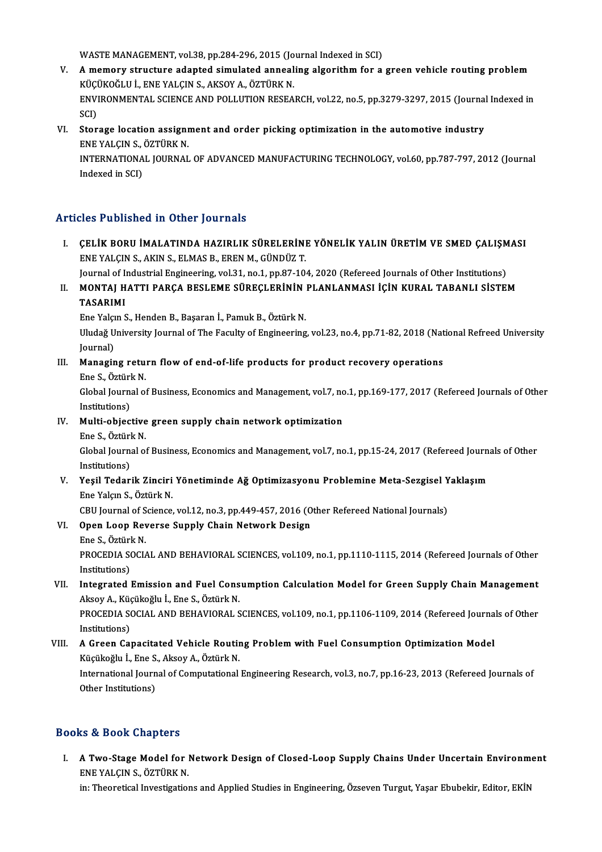WASTE MANAGEMENT, vol.38, pp.284-296, 2015 (Journal Indexed in SCI)

- V. A memory structure adapted simulated annealing algorithm for a green vehicle routing problem WASTE MANAGEMENT, vol.38, pp.284-296, 2015 (Jo<br>A memory structure adapted simulated anneal<br>KÜÇÜKOĞLU İ., ENE YALÇIN S., AKSOY A., ÖZTÜRK N.<br>ENVIRONMENTAL SCIENCE AND POLLUTION PESEA ENVIRONMENTAL SCIENCE AND POLLUTION RESEARCH, vol.22, no.5, pp.3279-3297, 2015 (Journal Indexed in SCI) KÜÇI<br>ENVI<br>SCI)<br>Star ENVIRONMENTAL SCIENCE AND POLLUTION RESEARCH, vol.22, no.5, pp.3279-3297, 2015 (Journal<br>SCI)<br>VI. Storage location assignment and order picking optimization in the automotive industry<br>ENE VALCIN S. ÖZTÜPK N
- SCI)<br>Storage location assigni<br>ENE YALÇIN S., ÖZTÜRK N.<br>INTERNATIONAL JOURNAL ENE YALÇIN S., ÖZTÜRK N.

INTERNATIONAL JOURNAL OF ADVANCED MANUFACTURING TECHNOLOGY, vol.60, pp.787-797, 2012 (Journal Indexed in SCI)

### Articles Published in Other Journals

Tticles Published in Other Journals<br>I. CELİK BORU İMALATINDA HAZIRLIK SÜRELERİNE YÖNELİK YALIN ÜRETİM VE SMED ÇALIŞMASI<br>FREXALÇIN S.AKIN S. ELMAS B. EREN M. CÜNDÜZ T. SEE TUBHUHEU IN OCHET JOUTHUIS<br>CELIK BORU IMALATINDA HAZIRLIK SÜRELERINI<br>ENE YALÇIN S., AKIN S., ELMAS B., EREN M., GÜNDÜZ T.<br>Journal of Industrial Engineering, vol 31, no.1, nn 87, 10. CELİK BORU İMALATINDA HAZIRLIK SÜRELERİNE YÖNELİK YALIN ÜRETİM VE SMED ÇALIŞM<br>ENE YALÇIN S., AKIN S., ELMAS B., EREN M., GÜNDÜZ T.<br>Journal of Industrial Engineering, vol.31, no.1, pp.87-104, 2020 (Refereed Journals of Othe ENE YALÇIN S., AKIN S., ELMAS B., EREN M., GÜNDÜZ T.<br>Journal of Industrial Engineering, vol.31, no.1, pp.87-104, 2020 (Refereed Journals of Other Institutions)<br>II. MONTAJ HATTI PARÇA BESLEME SÜREÇLERİNİN PLANLANMASI İÇ

## Journal of I<br>MONTAJ H<br>TASARIMI<br>Ene Velem S MONTAJ HATTI PARÇA BESLEME SÜREÇLERİNİN<br>TASARIMI<br>Ene Yalçın S., Henden B., Başaran İ., Pamuk B., Öztürk N.<br>Uludeğ University Journal of The Fasulty of Ensineering

TASARIMI<br>Ene Yalçın S., Henden B., Başaran İ., Pamuk B., Öztürk N.<br>Uludağ University Journal of The Faculty of Engineering, vol.23, no.4, pp.71-82, 2018 (National Refreed University Ene Yalçı<br>Uludağ U<br>Journal)<br>Managir Uludağ University Journal of The Faculty of Engineering, vol.23, no.4, pp.71-82, 2018 (Nat<br>Journal)<br>III. Managing return flow of end-of-life products for product recovery operations<br>Free S. Östürk N

Journal)<br><mark>Managing retu:</mark><br>Ene S., Öztürk N.<br>Clabel Journal o

Managing return flow of end-of-life products for product recovery operations<br>Ene S., Öztürk N.<br>Global Journal of Business, Economics and Management, vol.7, no.1, pp.169-177, 2017 (Refereed Journals of Other Ene S., Öztürl<br>Global Journ:<br>Institutions)<br>Multi objec: Global Journal of Business, Economics and Management, vol.7, no<br>Institutions)<br>IV. Multi-objective green supply chain network optimization<br>FreeS, Östürk N

## Institutions)<br>IV. Multi-objective green supply chain network optimization

Ene S., Öztürk N.

Global Journal of Business, Economics and Management, vol.7, no.1, pp.15-24, 2017 (Refereed Journals of Other<br>Institutions) Global Journal of Business, Economics and Management, vol.7, no.1, pp.15-24, 2017 (Refereed Journal Institutions)<br>V. Yeşil Tedarik Zinciri Yönetiminde Ağ Optimizasyonu Problemine Meta-Sezgisel Yaklaşım<br>Fre Yolsun S. Örtürk

## Institutions)<br>Yeşil Tedarik Zinciri<br>Ene Yalçın S., Öztürk N.<br>CPU Jaurnal of Sciance Yeşil Tedarik Zinciri Yönetiminde Ağ Optimizasyonu Problemine Meta-Sezgisel Y<br>Ene Yalçın S., Öztürk N.<br>CBU Journal of Science, vol.12, no.3, pp.449-457, 2016 (Other Refereed National Journals)<br>Onen Leen Boyence Sunnly Chai Ene Yalçın S., Öztürk N.<br>CBU Journal of Science, vol.12, no.3, pp.449-457, 2016 (O<br>VI. Open Loop Reverse Supply Chain Network Design<br>Fre S. Öztürk N.

# CBU Journal of S<br>Open Loop Rev<br>Ene S., Öztürk N.<br>PROCEDIA SOCIA

Open Loop Reverse Supply Chain Network Design<br>Ene S., Öztürk N.<br>PROCEDIA SOCIAL AND BEHAVIORAL SCIENCES, vol.109, no.1, pp.1110-1115, 2014 (Refereed Journals of Other<br>Institutione) Ene S., Öztürl<br>PROCEDIA SO<br>Institutions)<br>Integrated PROCEDIA SOCIAL AND BEHAVIORAL SCIENCES, vol.109, no.1, pp.1110-1115, 2014 (Refereed Journals of Other<br>Institutions)<br>VII. Integrated Emission and Fuel Consumption Calculation Model for Green Supply Chain Management<br>Alsoy A

Institutions)<br>VII. Integrated Emission and Fuel Consumption Calculation Model for Green Supply Chain Management<br>Aksoy A., Küçükoğlu İ., Ene S., Öztürk N. Integrated Emission and Fuel Consumption Calculation Model for Green Supply Chain Management<br>Aksoy A., Küçükoğlu İ., Ene S., Öztürk N.<br>PROCEDIA SOCIAL AND BEHAVIORAL SCIENCES, vol.109, no.1, pp.1106-1109, 2014 (Refereed Jo Aksoy A., Küç<br>PROCEDIA SO<br>Institutions)<br>A Creen Ca

PROCEDIA SOCIAL AND BEHAVIORAL SCIENCES, vol.109, no.1, pp.1106-1109, 2014 (Refereed Journa<br>Institutions)<br>VIII. A Green Capacitated Vehicle Routing Problem with Fuel Consumption Optimization Model<br>Küsükoğlu İ. Ene S. Akayı Institutions)<br>VIII. A Green Capacitated Vehicle Routing Problem with Fuel Consumption Optimization Model

International Journal of Computational Engineering Research, vol.3, no.7, pp.16-23, 2013 (Refereed Journals of Other Institutions) Küçükoğlu İ, Ene S, Aksoy A, Öztürk N.

### Books&Book Chapters

ooks & Book Chapters<br>I. A Two-Stage Model for Network Design of Closed-Loop Supply Chains Under Uncertain Environment<br>ENE VALCIN S. ÖZTÜDK N ENEYALÇIN SAFTER<br>A Two-Stage Model for 1<br>ENEYALÇIN S., ÖZTÜRK N. A Two-Stage Model for Network Design of Closed-Loop Supply Chains Under Uncertain Environm<br>ENE YALÇIN S., ÖZTÜRK N.<br>in: Theoretical Investigations and Applied Studies in Engineering, Özseven Turgut, Yaşar Ebubekir, Editor,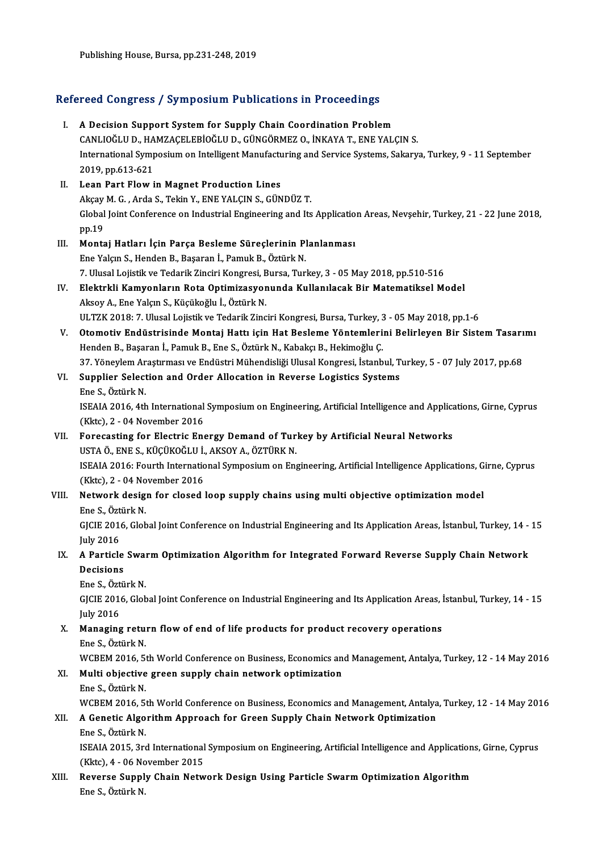Publishing House, Bursa, pp.231-248, 2019

# Publishing House, Bursa, pp.231-248, 2019<br>Refereed Congress / Symposium Publications in Proceedings

| Refereed Congress / Symposium Publications in Proceedings |                                                                                                                                             |
|-----------------------------------------------------------|---------------------------------------------------------------------------------------------------------------------------------------------|
| L.                                                        | A Decision Support System for Supply Chain Coordination Problem<br>CANLIOĞLU D., HAMZAÇELEBİOĞLU D., GÜNGÖRMEZ O., İNKAYA T., ENE YALÇIN S. |
|                                                           | International Symposium on Intelligent Manufacturing and Service Systems, Sakarya, Turkey, 9 - 11 September<br>2019, pp.613-621             |
| Н.                                                        | Lean Part Flow in Magnet Production Lines                                                                                                   |
|                                                           | Akçay M. G., Arda S., Tekin Y., ENE YALÇIN S., GÜNDÜZ T.                                                                                    |
|                                                           | Global Joint Conference on Industrial Engineering and Its Application Areas, Nevşehir, Turkey, 21 - 22 June 2018,<br>pp 19                  |
| III.                                                      | Montaj Hatları İçin Parça Besleme Süreçlerinin Planlanması                                                                                  |
|                                                           | Ene Yalçın S., Henden B., Başaran İ., Pamuk B., Öztürk N.                                                                                   |
|                                                           | 7. Ulusal Lojistik ve Tedarik Zinciri Kongresi, Bursa, Turkey, 3 - 05 May 2018, pp.510-516                                                  |
| IV.                                                       | Elektrkli Kamyonların Rota Optimizasyonunda Kullanılacak Bir Matematiksel Model<br>Aksoy A., Ene Yalçın S., Küçükoğlu İ., Öztürk N.         |
|                                                           | ULTZK 2018: 7. Ulusal Lojistik ve Tedarik Zinciri Kongresi, Bursa, Turkey, 3 - 05 May 2018, pp.1-6                                          |
| V.                                                        | Otomotiv Endüstrisinde Montaj Hattı için Hat Besleme Yöntemlerini Belirleyen Bir Sistem Tasarımı                                            |
|                                                           | Henden B., Başaran İ., Pamuk B., Ene S., Öztürk N., Kabakçı B., Hekimoğlu Ç.                                                                |
|                                                           | 37. Yöneylem Araştırması ve Endüstri Mühendisliği Ulusal Kongresi, İstanbul, Turkey, 5 - 07 July 2017, pp.68                                |
| VI.                                                       | Supplier Selection and Order Allocation in Reverse Logistics Systems                                                                        |
|                                                           | Ene S., Öztürk N.                                                                                                                           |
|                                                           | ISEAIA 2016, 4th International Symposium on Engineering, Artificial Intelligence and Applications, Girne, Cyprus                            |
|                                                           | (Kktc), 2 - 04 November 2016                                                                                                                |
| VII.                                                      | Forecasting for Electric Energy Demand of Turkey by Artificial Neural Networks<br>USTA Ö., ENE S., KÜÇÜKOĞLU İ., AKSOY A., ÖZTÜRK N.        |
|                                                           | ISEAIA 2016: Fourth International Symposium on Engineering, Artificial Intelligence Applications, Girne, Cyprus                             |
|                                                           | (Kktc), 2 - 04 November 2016                                                                                                                |
| VIII.                                                     | Network design for closed loop supply chains using multi objective optimization model                                                       |
|                                                           | Ene S., Öztürk N.                                                                                                                           |
|                                                           | GJCIE 2016, Global Joint Conference on Industrial Engineering and Its Application Areas, İstanbul, Turkey, 14 - 15                          |
| IX.                                                       | July 2016<br>A Particle Swarm Optimization Algorithm for Integrated Forward Reverse Supply Chain Network                                    |
|                                                           | Decisions                                                                                                                                   |
|                                                           | Ene S., Öztürk N.                                                                                                                           |
|                                                           | GJCIE 2016, Global Joint Conference on Industrial Engineering and Its Application Areas, İstanbul, Turkey, 14 - 15                          |
|                                                           | <b>July 2016</b>                                                                                                                            |
| X.                                                        | Managing return flow of end of life products for product recovery operations                                                                |
|                                                           | Ene S., Öztürk N.                                                                                                                           |
|                                                           | WCBEM 2016, 5th World Conference on Business, Economics and Management, Antalya, Turkey, 12 - 14 May 2016                                   |
| XI.                                                       | Multi objective green supply chain network optimization<br>Ene S., Öztürk N.                                                                |
|                                                           | WCBEM 2016, 5th World Conference on Business, Economics and Management, Antalya, Turkey, 12 - 14 May 2016                                   |
| XII.                                                      | A Genetic Algorithm Approach for Green Supply Chain Network Optimization                                                                    |
|                                                           | Ene S., Öztürk N.                                                                                                                           |
|                                                           | ISEAIA 2015, 3rd International Symposium on Engineering, Artificial Intelligence and Applications, Girne, Cyprus                            |
|                                                           | (Kktc), 4 - 06 November 2015                                                                                                                |
| XIII.                                                     | Reverse Supply Chain Network Design Using Particle Swarm Optimization Algorithm                                                             |
|                                                           | Ene S., Öztürk N.                                                                                                                           |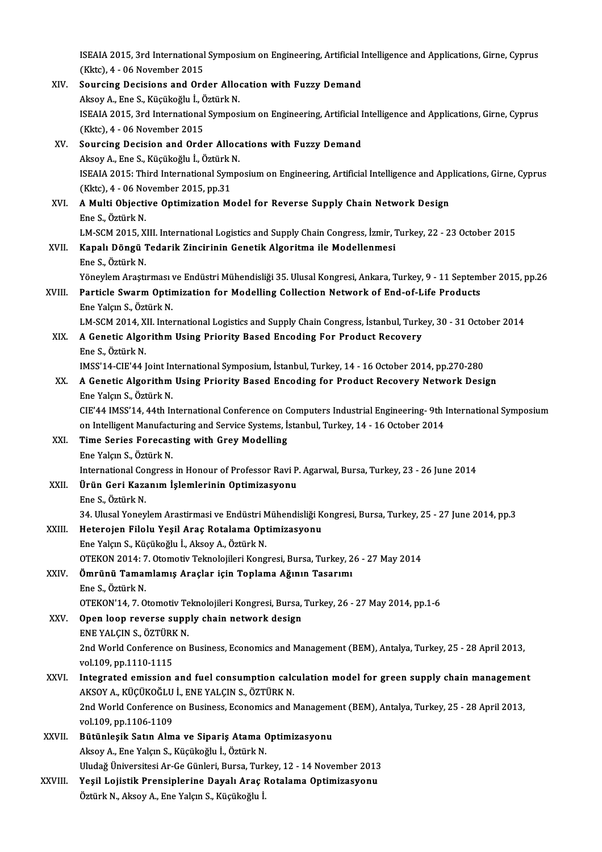ISEAIA 2015, 3rd International Symposium on Engineering, Artificial Intelligence and Applications, Girne, Cyprus<br>(Klite), 4, .06 Nevember 3015 (KKtc), 1015, 3rd International<br>(Kktc), 4 - 06 November 2015<br>Seunging Desisions and Ord ISEAIA 2015, 3rd International Symposium on Engineering, Artificial I<br>(Kktc), 4 - 06 November 2015<br>XIV. Sourcing Decisions and Order Allocation with Fuzzy Demand

(Kktc), 4 - 06 November 2015<br>Sourcing Decisions and Order Allo<br>Aksoy A., Ene S., Küçükoğlu İ., Öztürk N.<br>ISEAJA 2015, 2nd International Sumper ISEAIA 2015, 3rd International Symposium on Engineering, Artificial Intelligence and Applications, Girne, Cyprus<br>(Kktc), 4 - 06 November 2015 Aksoy A., Ene S., Küçükoğlu İ., Öztürk N. ISEAIA 2015, 3rd International Symposium on Engineering, Artificial I<br>(Kktc), 4 - 06 November 2015<br>XV. Sourcing Decision and Order Allocations with Fuzzy Demand<br>Alsou A. Eng S. Küsükoğlu İ. Östürk N

### (Kktc), 4 - 06 November 2015<br>Sourcing Decision and Order Alloc:<br>Aksoy A., Ene S., Küçükoğlu İ., Öztürk N.<br>ISEAJA 2015: Third International Sumne Sourcing Decision and Order Allocations with Fuzzy Demand<br>Aksoy A., Ene S., Küçükoğlu İ., Öztürk N.<br>ISEAIA 2015: Third International Symposium on Engineering, Artificial Intelligence and Applications, Girne, Cyprus<br>(Klte), Aksoy A., Ene S., Küçükoğlu İ., Öztürk l<br>ISEAIA 2015: Third International Sym<br>(Kktc), 4 - 06 November 2015, pp.31<br>A Multi Objective Ontimization Me ISEAIA 2015: Third International Symposium on Engineering, Artificial Intelligence and App<br>(Kktc), 4 - 06 November 2015, pp.31<br>XVI. A Multi Objective Optimization Model for Reverse Supply Chain Network Design<br>Free S. Östür

(Kktc), 4 - 06 No<br>A Multi Objecti<br>Ene S., Öztürk N.<br>LM SCM 2015 - Y Ene S., Öztürk N.<br>LM-SCM 2015, XIII. International Logistics and Supply Chain Congress, İzmir, Turkey, 22 - 23 October 2015

Ene S., Öztürk N.<br>LM-SCM 2015, XIII. International Logistics and Supply Chain Congress, İzmir, 1<br>XVII. Kapalı Döngü Tedarik Zincirinin Genetik Algoritma ile Modellenmesi<br>Ene S. Öztürk N LM-SCM 2015, X<br><mark>Kapalı Döngü</mark> 1<br>Ene S., Öztürk N.<br><sup>Vänovlom Anatt</sup> Ene S., Öztürk N.<br>Yöneylem Araştırması ve Endüstri Mühendisliği 35. Ulusal Kongresi, Ankara, Turkey, 9 - 11 September 2015, pp.26 Ene S., Öztürk N.<br>Yöneylem Araştırması ve Endüstri Mühendisliği 35. Ulusal Kongresi, Ankara, Turkey, 9 - 11 Septem<br>XVIII. Particle Swarm Optimization for Modelling Collection Network of End-of-Life Products<br>Ene Yelem S. Ör

## Yöneylem Araştırması<br>P<mark>article Swarm Optir</mark><br>Ene Yalçın S., Öztürk N.<br>LM SCM 2014 YU Inte Particle Swarm Optimization for Modelling Collection Network of End-of-Life Products<br>Ene Yalçın S., Öztürk N.<br>LM-SCM 2014, XII. International Logistics and Supply Chain Congress, İstanbul, Turkey, 30 - 31 October 2014<br>A Co

Ene Yalçın S., Öztürk N.<br>LM-SCM 2014, XII. International Logistics and Supply Chain Congress, İstanbul, Turk<br>XIX. A Genetic Algorithm Using Priority Based Encoding For Product Recovery<br>Ene S.. Öztürk N. LM-SCM 2014, X<br><mark>A Genetic Algo</mark><br>Ene S., Öztürk N.<br>IMSS'14 CIE'44 I

IMSS'14-CIE'44 Joint InternationalSymposium, İstanbul,Turkey,14 -16October 2014,pp.270-280

## Ene S., Öztürk N.<br>IMSS'14-CIE'44 Joint International Symposium, İstanbul, Turkey, 14 - 16 October 2014, pp.270-280<br>XX. A Genetic Algorithm Using Priority Based Encoding for Product Recovery Network Design<br>Fre Yakup S. IMSS'14-CIE'44 Joint In<br>**A Genetic Algorithm**<br>Ene Yalçın S., Öztürk N.<br>CIE'44 IMSS'14 44th In A Genetic Algorithm Using Priority Based Encoding for Product Recovery Network Design<br>Ene Yalçın S., Öztürk N.<br>CIE'44 IMSS'14, 44th International Conference on Computers Industrial Engineering- 9th International Symposium<br>

Ene Yalçın S., Öztürk N.<br>CIE'44 IMSS'14, 44th International Conference on Computers Industrial Engineering- 9th l<br>on Intelligent Manufacturing and Service Systems, İstanbul, Turkey, 14 - 16 October 2014<br>Time Series Fereses CIE'44 IMSS'14, 44th International Conference on C<br>on Intelligent Manufacturing and Service Systems, Is<br>XXI. Time Series Forecasting with Grey Modelling<br>Free Volem S. Östürk N.

on Intelligent Manufact<br>Time Series Forecas<br>Ene Yalçın S., Öztürk N.<br>International Congrees Time Series Forecasting with Grey Modelling<br>Ene Yalçın S., Öztürk N.<br>International Congress in Honour of Professor Ravi P. Agarwal, Bursa, Turkey, 23 - 26 June 2014<br>Ünün Ceni Keganun İslamları'nin Optimizesyanu Ene Yalçın S., Öztürk N.<br>International Congress in Honour of Professor Ravi P<br>XXII. Ürün Geri Kazanım İşlemlerinin Optimizasyonu<br>Ene S. Öztürk N.

# International Com<br>Ürün Geri Kaza<br>Ene S., Öztürk N.<br>24. Ulusel Yoney

Ürün Geri Kazanım İşlemlerinin Optimizasyonu<br>1994. - Ene S., Öztürk N.<br>34. Ulusal Yoneylem Arastirmasi ve Endüstri Mühendisliği Kongresi, Bursa, Turkey, 25 - 27 June 2014, pp.3

# Ene S., Öztürk N.<br>34. Ulusal Yoneylem Arastirmasi ve Endüstri Mühendisliği K<br>XXIII. Heterojen Filolu Yeşil Araç Rotalama Optimizasyonu

34. Ulusal Yoneylem Arastirmasi ve Endüstri N<br>Heterojen Filolu Yeşil Araç Rotalama Opt<br>Ene Yalçın S., Küçükoğlu İ., Aksoy A., Öztürk N.<br>OTEKON 2014. 7. Otemativ Telmolejileri Kong Heterojen Filolu Yeşil Araç Rotalama Optimizasyonu<br>Ene Yalçın S., Küçükoğlu İ., Aksoy A., Öztürk N.<br>OTEKON 2014: 7. Otomotiv Teknolojileri Kongresi, Bursa, Turkey, 26 - 27 May 2014<br>Ömrünü Tamamlamış Araslar isin Tanlama Ağ Ene Yalçın S., Küçükoğlu İ., Aksoy A., Öztürk N.<br>OTEKON 2014: 7. Otomotiv Teknolojileri Kongresi, Bursa, Turkey, 2<br>XXIV. Ömrünü Tamamlamış Araçlar için Toplama Ağının Tasarımı<br>Ene S. Östürle N

## OTEKON 2014: 7<br>**Ömrünü Tamar**<br>Ene S., Öztürk N.<br>OTEKON'14, 7, O Ömrünü Tamamlamış Araçlar için Toplama Ağının Tasarımı<br>Ene S., Öztürk N.<br>OTEKON'14, 7. Otomotiv Teknolojileri Kongresi, Bursa, Turkey, 26 - 27 May 2014, pp.1-6<br>Onen Jeen reverse sunnly shain netwerk design Ene S., Öztürk N.<br>OTEKON'14, 7. Otomotiv Teknolojileri Kongresi, Bursa,<br>XXV. Open loop reverse supply chain network design<br>ENE VALCIN S. ÖZTÜRK N

OTEKON'14, 7. Otomotiv Te<br>Open loop reverse supp<br>ENE YALÇIN S., ÖZTÜRK N.<br>2nd World Conference on l Open loop reverse supply chain network design<br>ENE YALÇIN S., ÖZTÜRK N.<br>2nd World Conference on Business, Economics and Management (BEM), Antalya, Turkey, 25 - 28 April 2013,<br>vol.109, pp.1110, 1115 ENE YALÇIN S., ÖZTÜRI<br>2nd World Conference<br>vol.109, pp.1110-1115<br>Integrated emission 2nd World Conference on Business, Economics and Management (BEM), Antalya, Turkey, 25 - 28 April 2013,<br>vol.109, pp.1110-1115<br>XXVI. Integrated emission and fuel consumption calculation model for green supply chain managemen

## vol.109, pp.1110-1115<br>Integrated emission and fuel consumption calc<br>AKSOY A., KÜÇÜKOĞLU İ., ENE YALÇIN S., ÖZTÜRK N.<br>2nd World Conference en Business, Esenemiss and 1 Integrated emission and fuel consumption calculation model for green supply chain managemen<br>AKSOY A., KÜÇÜKOĞLU İ., ENE YALÇIN S., ÖZTÜRK N.<br>2nd World Conference on Business, Economics and Management (BEM), Antalya, Turkey

AKSOY A., KÜÇÜKOĞLU İ., ENE YALÇIN S., ÖZTÜRK N.<br>2nd World Conference on Business, Economics and Managem<br>vol.109, pp.1106-1109<br>Bütünleşik Satın Alma ve Sipariş Atama Optimizasyonu 2nd World Conference on Business, Economics and Management (BEM), Antalya, Turkey, 25 - 28 April 2013,<br>vol.109, pp.1106-1109<br>XXVII. Bütünleşik Satın Alma ve Sipariş Atama Optimizasyonu

- Aksoy A., Ene Yalçın S., Küçükoğlu İ., Öztürk N. UludağÜniversitesiAr-GeGünleri,Bursa,Turkey,12 -14November 2013 Aksoy A., Ene Yalçın S., Küçükoğlu İ., Öztürk N.<br>Uludağ Üniversitesi Ar-Ge Günleri, Bursa, Turkey, 12 - 14 November 2013<br>XXVIII. Yeşil Lojistik Prensiplerine Dayalı Araç Rotalama Optimizasyonu<br>Östürk N. Almay A. Ene Yelem
- Uludağ Üniversitesi Ar-Ge Günleri, Bursa, Turl<br>Ye<mark>şil Lojistik Prensiplerine Dayalı Araç I</mark><br>Öztürk N., Aksoy A., Ene Yalçın S., Küçükoğlu İ.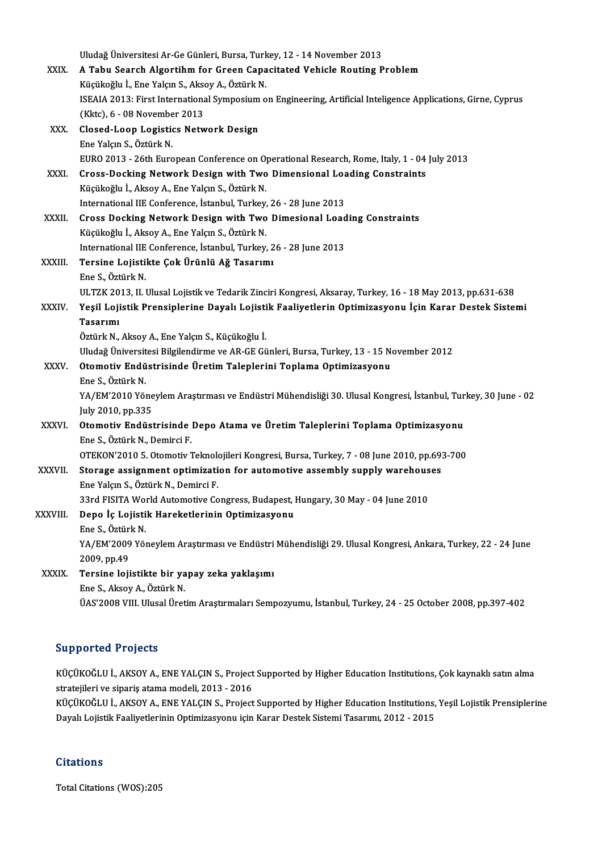|              | Uludağ Üniversitesi Ar-Ge Günleri, Bursa, Turkey, 12 - 14 November 2013                                       |
|--------------|---------------------------------------------------------------------------------------------------------------|
| XXIX.        | A Tabu Search Algortihm for Green Capacitated Vehicle Routing Problem                                         |
|              | Küçükoğlu İ., Ene Yalçın S., Aksoy A., Öztürk N.                                                              |
|              | ISEAIA 2013: First International Symposium on Engineering, Artificial Inteligence Applications, Girne, Cyprus |
|              | (Kktc), 6 - 08 November 2013                                                                                  |
| XXX.         | <b>Closed-Loop Logistics Network Design</b>                                                                   |
|              | Ene Yalçın S., Öztürk N.                                                                                      |
|              | EURO 2013 - 26th European Conference on Operational Research, Rome, Italy, 1 - 04 July 2013                   |
| XXXI.        | Cross-Docking Network Design with Two Dimensional Loading Constraints                                         |
|              | Küçükoğlu İ., Aksoy A., Ene Yalçın S., Öztürk N.                                                              |
|              | International IIE Conference, İstanbul, Turkey, 26 - 28 June 2013                                             |
| XXXII.       | Cross Docking Network Design with Two Dimesional Loading Constraints                                          |
|              | Küçükoğlu İ., Aksoy A., Ene Yalçın S., Öztürk N.                                                              |
|              | International IIE Conference, İstanbul, Turkey, 26 - 28 June 2013                                             |
| XXXIII.      | Tersine Lojistikte Çok Ürünlü Ağ Tasarımı                                                                     |
|              | Ene S., Öztürk N.                                                                                             |
|              | ULTZK 2013, II. Ulusal Lojistik ve Tedarik Zinciri Kongresi, Aksaray, Turkey, 16 - 18 May 2013, pp.631-638    |
| XXXIV.       | Yeşil Lojistik Prensiplerine Dayalı Lojistik Faaliyetlerin Optimizasyonu İçin Karar Destek Sistemi            |
|              | <b>Tasarimi</b>                                                                                               |
|              | Öztürk N., Aksoy A., Ene Yalçın S., Küçükoğlu İ.                                                              |
|              | Uludağ Üniversitesi Bilgilendirme ve AR-GE Günleri, Bursa, Turkey, 13 - 15 November 2012                      |
| XXXV.        | Otomotiv Endüstrisinde Üretim Taleplerini Toplama Optimizasyonu                                               |
|              | Ene S., Öztürk N.                                                                                             |
|              | YA/EM'2010 Yöneylem Araştırması ve Endüstri Mühendisliği 30. Ulusal Kongresi, İstanbul, Turkey, 30 June - 02  |
|              | July 2010, pp.335                                                                                             |
| <b>XXXVI</b> | Otomotiv Endüstrisinde Depo Atama ve Üretim Taleplerini Toplama Optimizasyonu                                 |
|              | Ene S., Öztürk N., Demirci F.                                                                                 |
|              | OTEKON'2010 5. Otomotiv Teknolojileri Kongresi, Bursa, Turkey, 7 - 08 June 2010, pp.693-700                   |
| XXXVII.      | Storage assignment optimization for automotive assembly supply warehouses                                     |
|              | Ene Yalçın S., Öztürk N., Demirci F.                                                                          |
|              | 33rd FISITA World Automotive Congress, Budapest, Hungary, 30 May - 04 June 2010                               |
| XXXVIII.     | Depo İç Lojistik Hareketlerinin Optimizasyonu                                                                 |
|              | Ene S., Öztürk N.                                                                                             |
|              | YA/EM'2009 Yöneylem Araştırması ve Endüstri Mühendisliği 29. Ulusal Kongresi, Ankara, Turkey, 22 - 24 June    |
|              | 2009, pp 49                                                                                                   |
| <b>XXXIX</b> | Tersine lojistikte bir yapay zeka yaklaşımı<br>Ene S., Aksoy A., Öztürk N.                                    |
|              | ÜAS'2008 VIII. Ulusal Üretim Araştırmaları Sempozyumu, İstanbul, Turkey, 24 - 25 October 2008, pp.397-402     |
|              |                                                                                                               |

### Supported Projects

Supported Projects<br>KÜÇÜKOĞLU İ., AKSOY A., ENE YALÇIN S., Project Supported by Higher Education Institutions, Çok kaynaklı satın alma<br>strateilleri ve sinaris atama modeli 2012 - 2016 supporteur i rojecte<br>KÜÇÜKOĞLU İ., AKSOY A., ENE YALÇIN S., Project<br>stratejileri ve sipariş atama modeli, 2013 - 2016<br>VÜÇÜKOĞLU İ. AKSOY A., ENE YALÇIN S., Project KÜÇÜKOĞLU İ., AKSOY A., ENE YALÇIN S., Project Supported by Higher Education Institutions, Çok kaynaklı satın alma<br>stratejileri ve sipariş atama modeli, 2013 - 2016<br>KÜÇÜKOĞLU İ., AKSOY A., ENE YALÇIN S., Project Supported stratejileri ve sipariş atama modeli, 2013 - 2016<br>KÜÇÜKOĞLU İ., AKSOY A., ENE YALÇIN S., Project Supported by Higher Education Institutions,<br>Dayalı Lojistik Faaliyetlerinin Optimizasyonu için Karar Destek Sistemi Tasarımı,

Dayalı Lojistik Faaliyetlerinin Optimizasyonu için Karar Destek Sistemi Tasarımı, 2012 - 2015<br>Citations

Total Citations (WOS):205